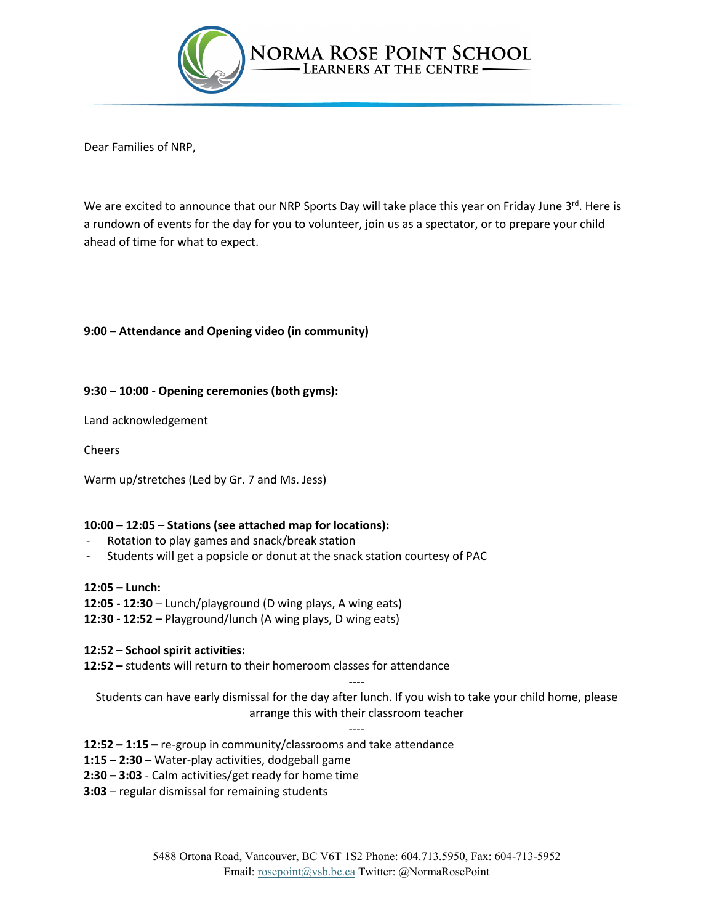

Dear Families of NRP,

We are excited to announce that our NRP Sports Day will take place this year on Friday June  $3^{rd}$ . Here is a rundown of events for the day for you to volunteer, join us as a spectator, or to prepare your child ahead of time for what to expect.

## **9:00 – Attendance and Opening video (in community)**

## **9:30 – 10:00 - Opening ceremonies (both gyms):**

Land acknowledgement

Cheers

Warm up/stretches (Led by Gr. 7 and Ms. Jess)

## **10:00 – 12:05** – **Stations (see attached map for locations):**

- Rotation to play games and snack/break station
- Students will get a popsicle or donut at the snack station courtesy of PAC

## **12:05 – Lunch:**

- **12:05 - 12:30** Lunch/playground (D wing plays, A wing eats)
- **12:30 - 12:52** Playground/lunch (A wing plays, D wing eats)

## **12:52** – **School spirit activities:**

**12:52 –** students will return to their homeroom classes for attendance

Students can have early dismissal for the day after lunch. If you wish to take your child home, please arrange this with their classroom teacher

----

----

## **12:52 – 1:15 –** re-group in community/classrooms and take attendance

- **1:15 – 2:30** Water-play activities, dodgeball game
- **2:30 – 3:03** Calm activities/get ready for home time
- **3:03** regular dismissal for remaining students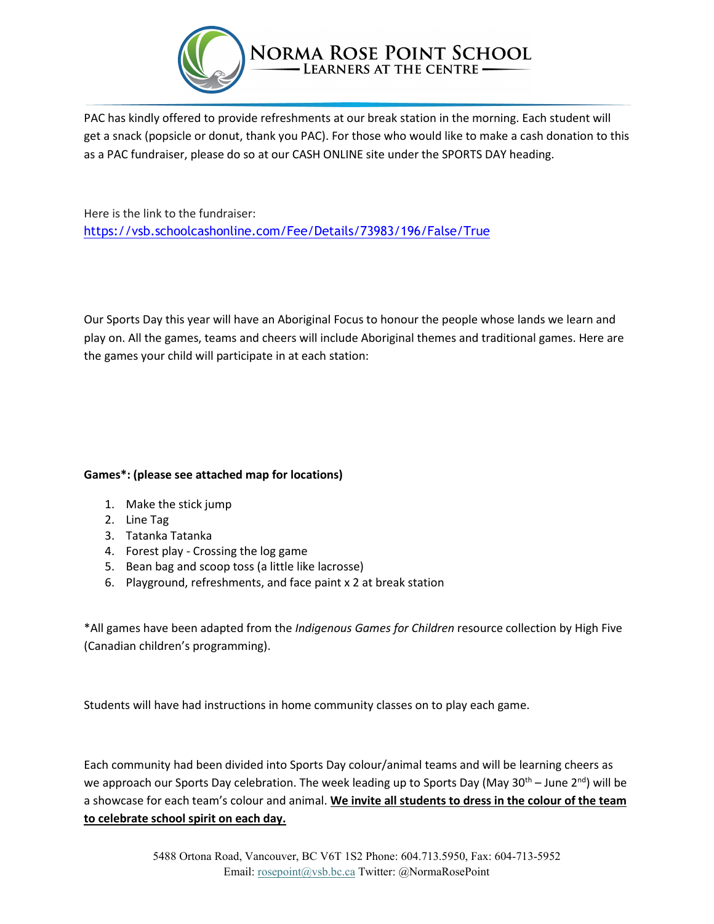

PAC has kindly offered to provide refreshments at our break station in the morning. Each student will get a snack (popsicle or donut, thank you PAC). For those who would like to make a cash donation to this as a PAC fundraiser, please do so at our CASH ONLINE site under the SPORTS DAY heading.

Here is the link to the fundraiser: <https://vsb.schoolcashonline.com/Fee/Details/73983/196/False/True>

Our Sports Day this year will have an Aboriginal Focus to honour the people whose lands we learn and play on. All the games, teams and cheers will include Aboriginal themes and traditional games. Here are the games your child will participate in at each station:

# **Games\*: (please see attached map for locations)**

- 1. Make the stick jump
- 2. Line Tag
- 3. Tatanka Tatanka
- 4. Forest play Crossing the log game
- 5. Bean bag and scoop toss (a little like lacrosse)
- 6. Playground, refreshments, and face paint x 2 at break station

\*All games have been adapted from the *Indigenous Games for Children* resource collection by High Five (Canadian children's programming).

Students will have had instructions in home community classes on to play each game.

Each community had been divided into Sports Day colour/animal teams and will be learning cheers as we approach our Sports Day celebration. The week leading up to Sports Day (May 30<sup>th</sup> – June 2<sup>nd</sup>) will be a showcase for each team's colour and animal. **We invite all students to dress in the colour of the team to celebrate school spirit on each day.**